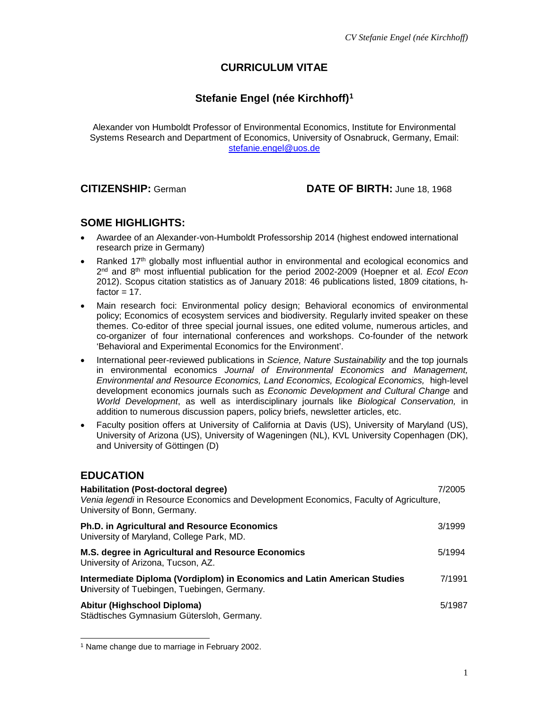# **CURRICULUM VITAE**

# **Stefanie Engel (née Kirchhoff)[1](#page-0-0)**

Alexander von Humboldt Professor of Environmental Economics, Institute for Environmental Systems Research and Department of Economics, University of Osnabruck, Germany, Email: [stefanie.engel@uos.de](mailto:stefanie.engel@uos.de)

### **CITIZENSHIP:** German **DATE OF BIRTH:** June 18, 1968

## **SOME HIGHLIGHTS:**

- Awardee of an Alexander-von-Humboldt Professorship 2014 (highest endowed international research prize in Germany)
- Ranked 17th globally most influential author in environmental and ecological economics and 2nd and 8th most influential publication for the period 2002-2009 (Hoepner et al. *Ecol Econ* 2012). Scopus citation statistics as of January 2018: 46 publications listed, 1809 citations, hfactor  $= 17$ .
- Main research foci: Environmental policy design; Behavioral economics of environmental policy; Economics of ecosystem services and biodiversity. Regularly invited speaker on these themes. Co-editor of three special journal issues, one edited volume, numerous articles, and co-organizer of four international conferences and workshops. Co-founder of the network 'Behavioral and Experimental Economics for the Environment'.
- International peer-reviewed publications in *Science, Nature Sustainability* and the top journals in environmental economics *Journal of Environmental Economics and Management, Environmental and Resource Economics, Land Economics, Ecological Economics,* high-level development economics journals such as *Economic Development and Cultural Change* and *World Development*, as well as interdisciplinary journals like *Biological Conservation,* in addition to numerous discussion papers, policy briefs, newsletter articles, etc.
- Faculty position offers at University of California at Davis (US), University of Maryland (US), University of Arizona (US), University of Wageningen (NL), KVL University Copenhagen (DK), and University of Göttingen (D)

# **EDUCATION**

| Habilitation (Post-doctoral degree)<br>Venia legendi in Resource Economics and Development Economics, Faculty of Agriculture,<br>University of Bonn, Germany. | 7/2005 |
|---------------------------------------------------------------------------------------------------------------------------------------------------------------|--------|
| <b>Ph.D. in Agricultural and Resource Economics</b><br>University of Maryland, College Park, MD.                                                              | 3/1999 |
| M.S. degree in Agricultural and Resource Economics<br>University of Arizona, Tucson, AZ.                                                                      | 5/1994 |
| Intermediate Diploma (Vordiplom) in Economics and Latin American Studies<br>University of Tuebingen, Tuebingen, Germany.                                      | 7/1991 |
| Abitur (Highschool Diploma)<br>Städtisches Gymnasium Gütersloh, Germany.                                                                                      | 5/1987 |

<span id="page-0-0"></span>l <sup>1</sup> Name change due to marriage in February 2002.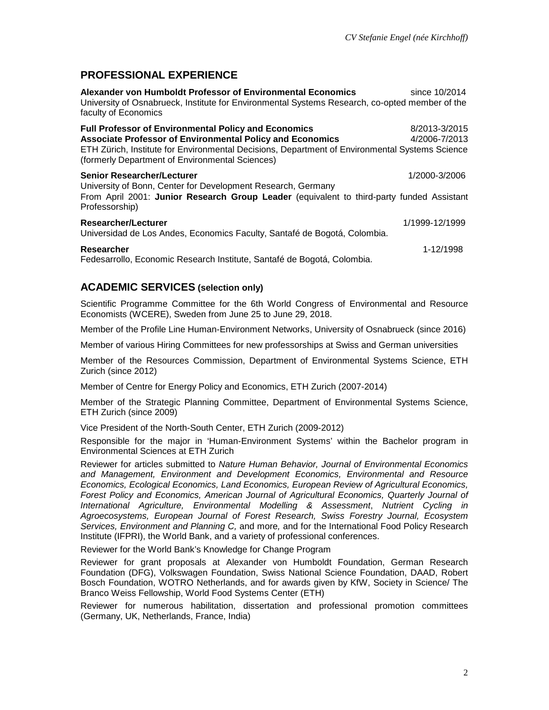# **PROFESSIONAL EXPERIENCE**

**Alexander von Humboldt Professor of Environmental Economics State State 10/2014** University of Osnabrueck, Institute for Environmental Systems Research, co-opted member of the faculty of Economics **Full Professor of Environmental Policy and Economics** 8/2013-3/2015 **Associate Professor of Environmental Policy and Economics** 4/2006-7/2013 ETH Zürich, Institute for Environmental Decisions, Department of Environmental Systems Science (formerly Department of Environmental Sciences) **Senior Researcher/Lecturer** 1/2000-3/2006 University of Bonn, Center for Development Research, Germany From April 2001: **Junior Research Group Leader** (equivalent to third-party funded Assistant Professorship) **Researcher/Lecturer** 1/1999-12/1999 Universidad de Los Andes, Economics Faculty, Santafé de Bogotá, Colombia. **Researcher** 1-12/1998 Fedesarrollo, Economic Research Institute, Santafé de Bogotá, Colombia.

## **ACADEMIC SERVICES (selection only)**

Scientific Programme Committee for the 6th World Congress of Environmental and Resource Economists (WCERE), Sweden from June 25 to June 29, 2018.

Member of the Profile Line Human-Environment Networks, University of Osnabrueck (since 2016)

Member of various Hiring Committees for new professorships at Swiss and German universities

Member of the Resources Commission, Department of Environmental Systems Science, ETH Zurich (since 2012)

Member of Centre for Energy Policy and Economics, ETH Zurich (2007-2014)

Member of the Strategic Planning Committee, Department of Environmental Systems Science, ETH Zurich (since 2009)

Vice President of the North-South Center, ETH Zurich (2009-2012)

Responsible for the major in 'Human-Environment Systems' within the Bachelor program in Environmental Sciences at ETH Zurich

Reviewer for articles submitted to *Nature Human Behavior, Journal of Environmental Economics and Management, Environment and Development Economics, Environmental and Resource Economics, Ecological Economics, Land Economics, European Review of Agricultural Economics, Forest Policy and Economics, American Journal of Agricultural Economics, Quarterly Journal of International Agriculture, Environmental Modelling & Assessment*, *Nutrient Cycling in Agroecosystems, European Journal of Forest Research, Swiss Forestry Journal, Ecosystem Services, Environment and Planning C,* and more*,* and for the International Food Policy Research Institute (IFPRI), the World Bank, and a variety of professional conferences.

Reviewer for the World Bank's Knowledge for Change Program

Reviewer for grant proposals at Alexander von Humboldt Foundation, German Research Foundation (DFG), Volkswagen Foundation, Swiss National Science Foundation, DAAD, Robert Bosch Foundation, WOTRO Netherlands, and for awards given by KfW, Society in Science/ The Branco Weiss Fellowship, World Food Systems Center (ETH)

Reviewer for numerous habilitation, dissertation and professional promotion committees (Germany, UK, Netherlands, France, India)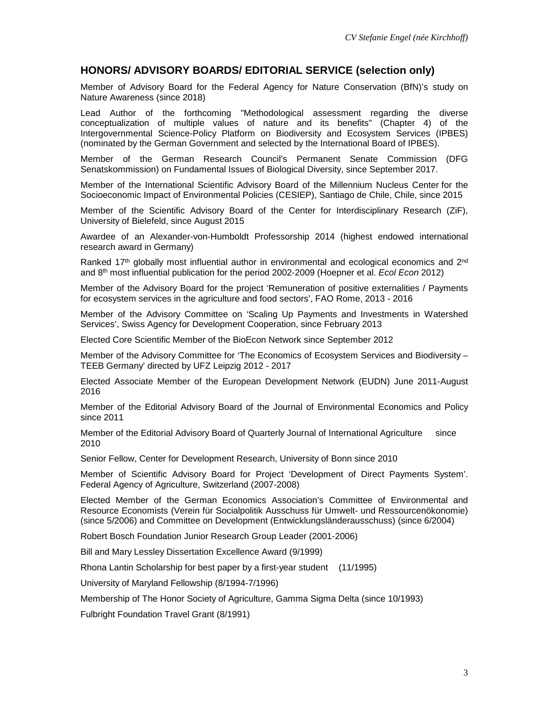#### **HONORS/ ADVISORY BOARDS/ EDITORIAL SERVICE (selection only)**

Member of Advisory Board for the Federal Agency for Nature Conservation (BfN)'s study on Nature Awareness (since 2018)

Lead Author of the forthcoming "Methodological assessment regarding the diverse conceptualization of multiple values of nature and its benefits" (Chapter 4) of the Intergovernmental Science-Policy Platform on Biodiversity and Ecosystem Services (IPBES) (nominated by the German Government and selected by the International Board of IPBES).

Member of the German Research Council's Permanent Senate Commission (DFG Senatskommission) on Fundamental Issues of Biological Diversity, since September 2017.

Member of the International Scientific Advisory Board of the Millennium Nucleus Center for the Socioeconomic Impact of Environmental Policies (CESIEP), Santiago de Chile, Chile, since 2015

Member of the Scientific Advisory Board of the Center for Interdisciplinary Research (ZiF), University of Bielefeld, since August 2015

Awardee of an Alexander-von-Humboldt Professorship 2014 (highest endowed international research award in Germany)

Ranked 17<sup>th</sup> globally most influential author in environmental and ecological economics and  $2<sup>nd</sup>$ and 8th most influential publication for the period 2002-2009 (Hoepner et al. *Ecol Econ* 2012)

Member of the Advisory Board for the project 'Remuneration of positive externalities / Payments for ecosystem services in the agriculture and food sectors', FAO Rome, 2013 - 2016

Member of the Advisory Committee on 'Scaling Up Payments and Investments in Watershed Services', Swiss Agency for Development Cooperation, since February 2013

Elected Core Scientific Member of the BioEcon Network since September 2012

Member of the Advisory Committee for 'The Economics of Ecosystem Services and Biodiversity – TEEB Germany' directed by UFZ Leipzig 2012 - 2017

Elected Associate Member of the European Development Network (EUDN) June 2011-August 2016

Member of the Editorial Advisory Board of the Journal of Environmental Economics and Policy since 2011

Member of the Editorial Advisory Board of Quarterly Journal of International Agriculture since 2010

Senior Fellow, Center for Development Research, University of Bonn since 2010

Member of Scientific Advisory Board for Project 'Development of Direct Payments System'. Federal Agency of Agriculture, Switzerland (2007-2008)

Elected Member of the German Economics Association's Committee of Environmental and Resource Economists (Verein für Socialpolitik Ausschuss für Umwelt- und Ressourcenökonomie) (since 5/2006) and Committee on Development (Entwicklungsländerausschuss) (since 6/2004)

Robert Bosch Foundation Junior Research Group Leader (2001-2006)

Bill and Mary Lessley Dissertation Excellence Award (9/1999)

Rhona Lantin Scholarship for best paper by a first-year student (11/1995)

University of Maryland Fellowship (8/1994-7/1996)

Membership of The Honor Society of Agriculture, Gamma Sigma Delta (since 10/1993)

Fulbright Foundation Travel Grant (8/1991)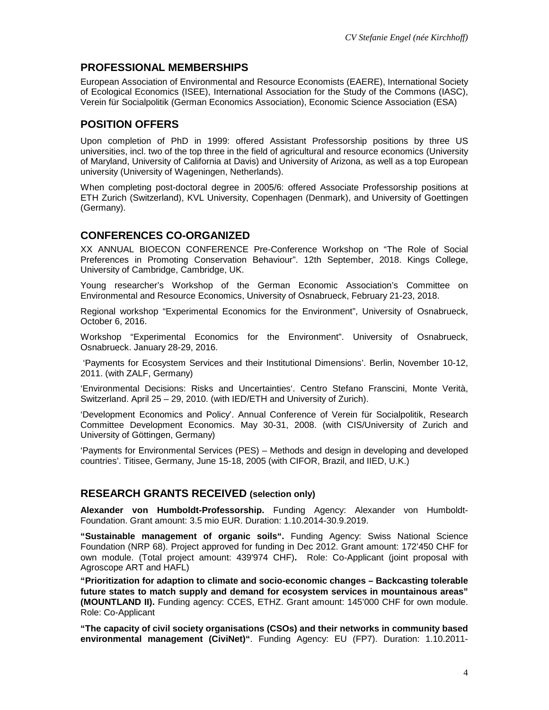# **PROFESSIONAL MEMBERSHIPS**

European Association of Environmental and Resource Economists (EAERE), International Society of Ecological Economics (ISEE), International Association for the Study of the Commons (IASC), Verein für Socialpolitik (German Economics Association), Economic Science Association (ESA)

# **POSITION OFFERS**

Upon completion of PhD in 1999: offered Assistant Professorship positions by three US universities, incl. two of the top three in the field of agricultural and resource economics (University of Maryland, University of California at Davis) and University of Arizona, as well as a top European university (University of Wageningen, Netherlands).

When completing post-doctoral degree in 2005/6: offered Associate Professorship positions at ETH Zurich (Switzerland), KVL University, Copenhagen (Denmark), and University of Goettingen (Germany).

# **CONFERENCES CO-ORGANIZED**

XX ANNUAL BIOECON CONFERENCE Pre-Conference Workshop on "The Role of Social Preferences in Promoting Conservation Behaviour". 12th September, 2018. Kings College, University of Cambridge, Cambridge, UK.

Young researcher's Workshop of the German Economic Association's Committee on Environmental and Resource Economics, University of Osnabrueck, February 21-23, 2018.

Regional workshop "Experimental Economics for the Environment", University of Osnabrueck, October 6, 2016.

Workshop "Experimental Economics for the Environment". University of Osnabrueck, Osnabrueck. January 28-29, 2016.

'Payments for Ecosystem Services and their Institutional Dimensions'. Berlin, November 10-12, 2011. (with ZALF, Germany)

'Environmental Decisions: Risks and Uncertainties'. Centro Stefano Franscini, Monte Verità, Switzerland. April 25 – 29, 2010. (with IED/ETH and University of Zurich).

'Development Economics and Policy'. Annual Conference of Verein für Socialpolitik, Research Committee Development Economics. May 30-31, 2008. (with CIS/University of Zurich and University of Göttingen, Germany)

'Payments for Environmental Services (PES) – Methods and design in developing and developed countries'. Titisee, Germany, June 15-18, 2005 (with CIFOR, Brazil, and IIED, U.K.)

## **RESEARCH GRANTS RECEIVED (selection only)**

**Alexander von Humboldt-Professorship.** Funding Agency: Alexander von Humboldt-Foundation. Grant amount: 3.5 mio EUR. Duration: 1.10.2014-30.9.2019.

**"Sustainable management of organic soils".** Funding Agency: Swiss National Science Foundation (NRP 68). Project approved for funding in Dec 2012. Grant amount: 172'450 CHF for own module. (Total project amount: 439'974 CHF)**.** Role: Co-Applicant (joint proposal with Agroscope ART and HAFL)

**"Prioritization for adaption to climate and socio-economic changes – Backcasting tolerable future states to match supply and demand for ecosystem services in mountainous areas" (MOUNTLAND II).** Funding agency: CCES, ETHZ. Grant amount: 145'000 CHF for own module. Role: Co-Applicant

**"The capacity of civil society organisations (CSOs) and their networks in community based environmental management (CiviNet)"**. Funding Agency: EU (FP7). Duration: 1.10.2011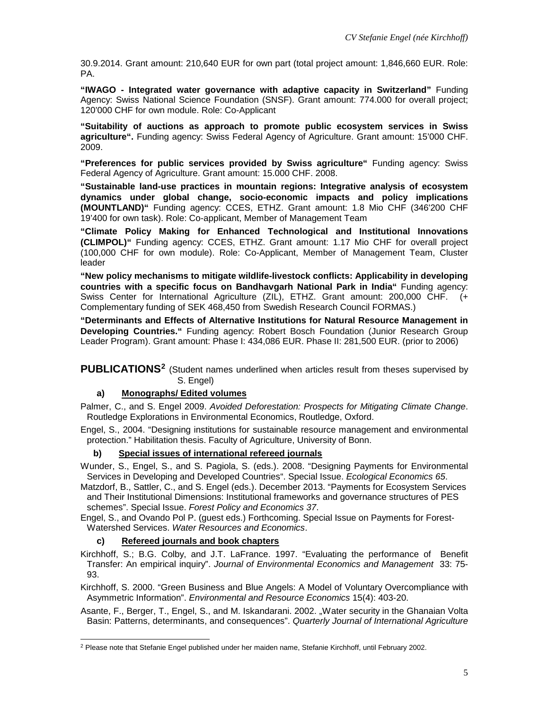30.9.2014. Grant amount: 210,640 EUR for own part (total project amount: 1,846,660 EUR. Role: PA.

**"IWAGO - Integrated water governance with adaptive capacity in Switzerland"** Funding Agency: Swiss National Science Foundation (SNSF). Grant amount: 774.000 for overall project; 120'000 CHF for own module. Role: Co-Applicant

**"Suitability of auctions as approach to promote public ecosystem services in Swiss agriculture".** Funding agency: Swiss Federal Agency of Agriculture. Grant amount: 15'000 CHF. 2009.

**"Preferences for public services provided by Swiss agriculture"** Funding agency: Swiss Federal Agency of Agriculture. Grant amount: 15.000 CHF. 2008.

**"Sustainable land-use practices in mountain regions: Integrative analysis of ecosystem dynamics under global change, socio-economic impacts and policy implications (MOUNTLAND)"** Funding agency: CCES, ETHZ. Grant amount: 1.8 Mio CHF (346'200 CHF 19'400 for own task). Role: Co-applicant, Member of Management Team

**"Climate Policy Making for Enhanced Technological and Institutional Innovations (CLIMPOL)"** Funding agency: CCES, ETHZ. Grant amount: 1.17 Mio CHF for overall project (100,000 CHF for own module). Role: Co-Applicant, Member of Management Team, Cluster leader

**"New policy mechanisms to mitigate wildlife-livestock conflicts: Applicability in developing countries with a specific focus on Bandhavgarh National Park in India"** Funding agency: Swiss Center for International Agriculture (ZIL), ETHZ. Grant amount: 200,000 CHF. (+ Complementary funding of SEK 468,450 from Swedish Research Council FORMAS.)

**"Determinants and Effects of Alternative Institutions for Natural Resource Management in Developing Countries."** Funding agency: Robert Bosch Foundation (Junior Research Group Leader Program). Grant amount: Phase I: 434,086 EUR. Phase II: 281,500 EUR. (prior to 2006)

**PUBLICATIONS[2](#page-4-0)** (Student names underlined when articles result from theses supervised by S. Engel)

#### **a) Monographs/ Edited volumes**

Palmer, C., and S. Engel 2009. *Avoided Deforestation: Prospects for Mitigating Climate Change*. Routledge Explorations in Environmental Economics, Routledge, Oxford.

Engel, S., 2004. "Designing institutions for sustainable resource management and environmental protection." Habilitation thesis. Faculty of Agriculture, University of Bonn.

#### **b) Special issues of international refereed journals**

Wunder, S., Engel, S., and S. Pagiola, S. (eds.). 2008. "Designing Payments for Environmental Services in Developing and Developed Countries". Special Issue. *Ecological Economics 65*.

Matzdorf, B., Sattler, C., and S. Engel (eds.). December 2013. "Payments for Ecosystem Services and Their Institutional Dimensions: Institutional frameworks and governance structures of PES schemes". Special Issue. *Forest Policy and Economics 37*.

Engel, S., and Ovando Pol P. (guest eds.) Forthcoming. Special Issue on Payments for Forest-Watershed Services. *Water Resources and Economics*.

#### **c) Refereed journals and book chapters**

Kirchhoff, S.; B.G. Colby, and J.T. LaFrance. 1997. "Evaluating the performance of Benefit Transfer: An empirical inquiry". *Journal of Environmental Economics and Management* 33: 75- 93.

Kirchhoff, S. 2000. "Green Business and Blue Angels: A Model of Voluntary Overcompliance with Asymmetric Information". *Environmental and Resource Economics* 15(4): 403-20.

Asante, F., Berger, T., Engel, S., and M. Iskandarani. 2002. "Water security in the Ghanaian Volta Basin: Patterns, determinants, and consequences". *Quarterly Journal of International Agriculture* 

<span id="page-4-0"></span><sup>-</sup><sup>2</sup> Please note that Stefanie Engel published under her maiden name, Stefanie Kirchhoff, until February 2002.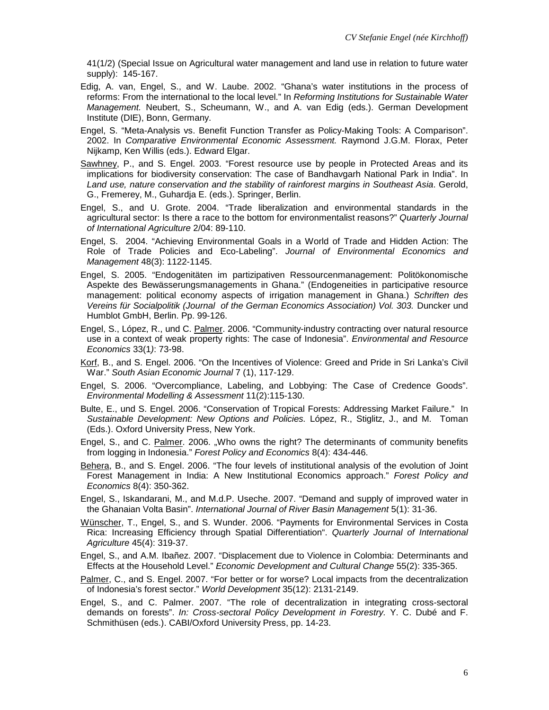41(1/2) (Special Issue on Agricultural water management and land use in relation to future water supply): 145-167.

- Edig, A. van, Engel, S., and W. Laube. 2002. "Ghana's water institutions in the process of reforms: From the international to the local level." In *Reforming Institutions for Sustainable Water Management.* Neubert, S., Scheumann, W., and A. van Edig (eds.). German Development Institute (DIE), Bonn, Germany.
- Engel, S. "Meta-Analysis vs. Benefit Function Transfer as Policy-Making Tools: A Comparison". 2002. In *Comparative Environmental Economic Assessment.* Raymond J.G.M. Florax, Peter Nijkamp, Ken Willis (eds.). Edward Elgar.
- Sawhney, P., and S. Engel. 2003. "Forest resource use by people in Protected Areas and its implications for biodiversity conservation: The case of Bandhavgarh National Park in India". In *Land use, nature conservation and the stability of rainforest margins in Southeast Asia*. Gerold, G., Fremerey, M., Guhardja E. (eds.). Springer, Berlin.
- Engel, S., and U. Grote. 2004. "Trade liberalization and environmental standards in the agricultural sector: Is there a race to the bottom for environmentalist reasons?" *Quarterly Journal of International Agriculture* 2/04: 89-110.
- Engel, S. 2004. "Achieving Environmental Goals in a World of Trade and Hidden Action: The Role of Trade Policies and Eco-Labeling". *Journal of Environmental Economics and Management* 48(3): 1122-1145.
- Engel, S. 2005. "Endogenitäten im partizipativen Ressourcenmanagement: Politökonomische Aspekte des Bewässerungsmanagements in Ghana." (Endogeneities in participative resource management: political economy aspects of irrigation management in Ghana.) *Schriften des Vereins für Socialpolitik (Journal of the German Economics Association) Vol. 303.* Duncker und Humblot GmbH, Berlin. Pp. 99-126.
- Engel, S., López, R., und C. Palmer. 2006. "Community-industry contracting over natural resource use in a context of weak property rights: The case of Indonesia". *Environmental and Resource Economics* 33(1*)*: 73-98.
- Korf, B., and S. Engel. 2006. "On the Incentives of Violence: Greed and Pride in Sri Lanka's Civil War." *South Asian Economic Journal* 7 (1), 117-129.
- Engel, S. 2006. "Overcompliance, Labeling, and Lobbying: The Case of Credence Goods". *Environmental Modelling & Assessment* 11(2):115-130.
- Bulte, E., und S. Engel. 2006. "Conservation of Tropical Forests: Addressing Market Failure." In *Sustainable Development: New Options and Policies.* López, R., Stiglitz, J., and M. Toman (Eds.). Oxford University Press, New York.
- Engel, S., and C. Palmer. 2006. "Who owns the right? The determinants of community benefits from logging in Indonesia." *Forest Policy and Economics* 8(4): 434-446.
- Behera, B., and S. Engel. 2006. "The four levels of institutional analysis of the evolution of Joint Forest Management in India: A New Institutional Economics approach." *Forest Policy and Economics* 8(4): 350-362.
- Engel, S., Iskandarani, M., and M.d.P. Useche. 2007. "Demand and supply of improved water in the Ghanaian Volta Basin". *International Journal of River Basin Management* 5(1): 31-36.
- Wünscher, T., Engel, S., and S. Wunder. 2006. "Payments for Environmental Services in Costa Rica: Increasing Efficiency through Spatial Differentiation". *Quarterly Journal of International Agriculture* 45(4): 319-37.
- Engel, S., and A.M. Ibañez. 2007. "Displacement due to Violence in Colombia: Determinants and Effects at the Household Level." *Economic Development and Cultural Change* 55(2): 335-365.
- Palmer, C., and S. Engel. 2007. "For better or for worse? Local impacts from the decentralization of Indonesia's forest sector." *World Development* 35(12): 2131-2149.
- Engel, S., and C. Palmer. 2007. "The role of decentralization in integrating cross-sectoral demands on forests". *In: Cross-sectoral Policy Development in Forestry.* Y. C. Dubé and F. Schmithüsen (eds.). CABI/Oxford University Press, pp. 14-23.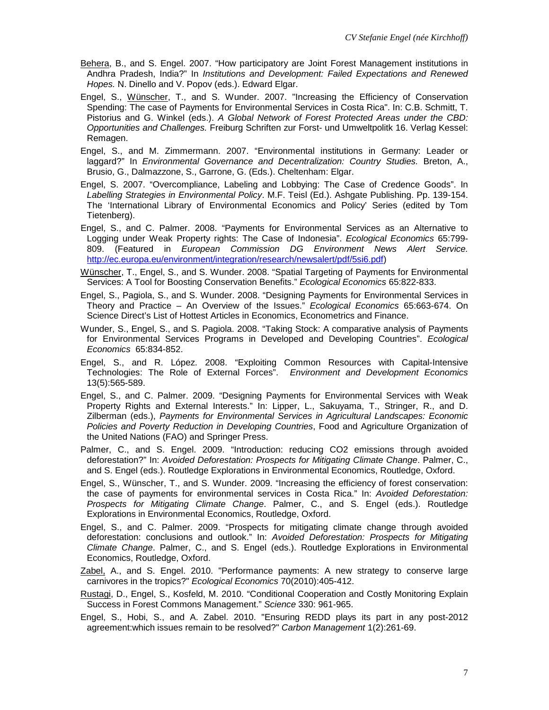- Behera, B., and S. Engel. 2007. "How participatory are Joint Forest Management institutions in Andhra Pradesh, India?" In *Institutions and Development: Failed Expectations and Renewed Hopes.* N. Dinello and V. Popov (eds.). Edward Elgar.
- Engel, S., Wünscher, T., and S. Wunder. 2007. "Increasing the Efficiency of Conservation Spending: The case of Payments for Environmental Services in Costa Rica". In: C.B. Schmitt, T. Pistorius and G. Winkel (eds.). *A Global Network of Forest Protected Areas under the CBD: Opportunities and Challenges.* Freiburg Schriften zur Forst- und Umweltpolitk 16. Verlag Kessel: Remagen.
- Engel, S., and M. Zimmermann. 2007. "Environmental institutions in Germany: Leader or laggard?" In *Environmental Governance and Decentralization: Country Studies.* Breton, A., Brusio, G., Dalmazzone, S., Garrone, G. (Eds.). Cheltenham: Elgar.
- Engel, S. 2007. "Overcompliance, Labeling and Lobbying: The Case of Credence Goods". In *Labelling Strategies in Environmental Policy*. M.F. Teisl (Ed.). Ashgate Publishing. Pp. 139-154. The 'International Library of Environmental Economics and Policy' Series (edited by Tom Tietenberg).
- Engel, S., and C. Palmer. 2008. "Payments for Environmental Services as an Alternative to Logging under Weak Property rights: The Case of Indonesia". *Ecological Economics* 65:799- 809. (Featured in *European Commission DG Environment News Alert Service.* [http://ec.europa.eu/environment/integration/research/newsalert/pdf/5si6.pdf\)](http://ec.europa.eu/environment/integration/research/newsalert/pdf/5si6.pdf)
- Wünscher, T., Engel, S., and S. Wunder. 2008. "Spatial Targeting of Payments for Environmental Services: A Tool for Boosting Conservation Benefits." *Ecological Economics* 65:822-833.
- Engel, S., Pagiola, S., and S. Wunder. 2008. "Designing Payments for Environmental Services in Theory and Practice – An Overview of the Issues." *Ecological Economics* 65:663-674. On Science Direct's List of Hottest Articles in Economics, Econometrics and Finance.
- Wunder, S., Engel, S., and S. Pagiola. 2008. "Taking Stock: A comparative analysis of Payments for Environmental Services Programs in Developed and Developing Countries". *Ecological Economics* 65:834-852.
- Engel, S., and R. López. 2008. "Exploiting Common Resources with Capital-Intensive Technologies: The Role of External Forces". *Environment and Development Economics* 13(5):565-589.
- Engel, S., and C. Palmer. 2009. "Designing Payments for Environmental Services with Weak Property Rights and External Interests." In: Lipper, L., Sakuyama, T., Stringer, R., and D. Zilberman (eds.), *Payments for Environmental Services in Agricultural Landscapes: Economic Policies and Poverty Reduction in Developing Countries*, Food and Agriculture Organization of the United Nations (FAO) and Springer Press.
- Palmer, C., and S. Engel. 2009. "Introduction: reducing CO2 emissions through avoided deforestation?" In: *Avoided Deforestation: Prospects for Mitigating Climate Change*. Palmer, C., and S. Engel (eds.). Routledge Explorations in Environmental Economics, Routledge, Oxford.
- Engel, S., Wünscher, T., and S. Wunder. 2009. "Increasing the efficiency of forest conservation: the case of payments for environmental services in Costa Rica." In: *Avoided Deforestation: Prospects for Mitigating Climate Change*. Palmer, C., and S. Engel (eds.). Routledge Explorations in Environmental Economics, Routledge, Oxford.
- Engel, S., and C. Palmer. 2009. "Prospects for mitigating climate change through avoided deforestation: conclusions and outlook." In: *Avoided Deforestation: Prospects for Mitigating Climate Change*. Palmer, C., and S. Engel (eds.). Routledge Explorations in Environmental Economics, Routledge, Oxford.
- Zabel, A., and S. Engel. 2010. "Performance payments: A new strategy to conserve large carnivores in the tropics?" *Ecological Economics* 70(2010):405-412.
- Rustagi, D., Engel, S., Kosfeld, M. 2010. "Conditional Cooperation and Costly Monitoring Explain Success in Forest Commons Management." *Science* 330: 961-965.
- Engel, S., Hobi, S., and A. Zabel. 2010. "Ensuring REDD plays its part in any post-2012 agreement:which issues remain to be resolved?" *Carbon Management* 1(2):261-69.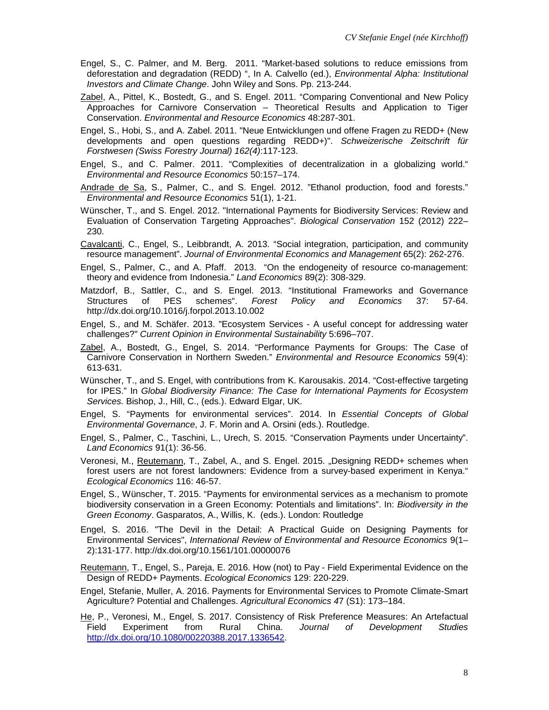- Engel, S., C. Palmer, and M. Berg. 2011. "Market-based solutions to reduce emissions from deforestation and degradation (REDD) ", In A. Calvello (ed.), *Environmental Alpha: Institutional Investors and Climate Change*. John Wiley and Sons. Pp. 213-244.
- Zabel, A., Pittel, K., Bostedt, G., and S. Engel. 2011. "Comparing Conventional and New Policy Approaches for Carnivore Conservation – Theoretical Results and Application to Tiger Conservation. *Environmental and Resource Economics* 48:287-301.
- Engel, S., Hobi, S., and A. Zabel. 2011. "Neue Entwicklungen und offene Fragen zu REDD+ (New developments and open questions regarding REDD+)". *Schweizerische Zeitschrift für Forstwesen (Swiss Forestry Journal) 162(4)*:117-123.
- Engel, S., and C. Palmer. 2011. "Complexities of decentralization in a globalizing world." *Environmental and Resource Economics* 50:157–174.
- Andrade de Sa, S., Palmer, C., and S. Engel. 2012. "Ethanol production, food and forests." *Environmental and Resource Economics* 51(1), 1-21.
- Wünscher, T., and S. Engel. 2012. "International Payments for Biodiversity Services: Review and Evaluation of Conservation Targeting Approaches". *Biological Conservation* 152 (2012) 222– 230.
- Cavalcanti, C., Engel, S., Leibbrandt, A. 2013. "Social integration, participation, and community resource management". *Journal of Environmental Economics and Management* 65(2): 262-276.
- Engel, S., Palmer, C., and A. Pfaff. 2013. "On the endogeneity of resource co-management: theory and evidence from Indonesia." *Land Economics* 89(2): 308-329.
- Matzdorf, B., Sattler, C., and S. Engel. 2013. "Institutional Frameworks and Governance<br>Structures of PES schemes". Forest Policy and Economics 37: 57-64. Structures of PES schemes". *Forest Policy and Economics* 37: 57-64. http://dx.doi.org/10.1016/j.forpol.2013.10.002
- Engel, S., and M. Schäfer. 2013. "Ecosystem Services A useful concept for addressing water challenges?" *Current Opinion in Environmental Sustainability* 5:696–707.
- Zabel, A., Bostedt, G., Engel, S. 2014. "Performance Payments for Groups: The Case of Carnivore Conservation in Northern Sweden." *Environmental and Resource Economics* 59(4): 613-631.
- Wünscher, T., and S. Engel, with contributions from K. Karousakis. 2014. "Cost-effective targeting for IPES." In *Global Biodiversity Finance: The Case for International Payments for Ecosystem Services.* Bishop, J., Hill, C., (eds.). Edward Elgar, UK.
- Engel, S. "Payments for environmental services". 2014. In *Essential Concepts of Global Environmental Governance*, J. F. Morin and A. Orsini (eds.). Routledge.
- Engel, S., Palmer, C., Taschini, L., Urech, S. 2015. "Conservation Payments under Uncertainty". *Land Economics* 91(1): 36-56.
- Veronesi, M., Reutemann, T., Zabel, A., and S. Engel. 2015. "Designing REDD+ schemes when forest users are not forest landowners: Evidence from a survey-based experiment in Kenya." *Ecological Economics* 116: 46-57.
- Engel, S., Wünscher, T. 2015. "Payments for environmental services as a mechanism to promote biodiversity conservation in a Green Economy: Potentials and limitations". In: *Biodiversity in the Green Economy*. Gasparatos, A., Willis, K. (eds.). London: Routledge
- Engel, S. 2016. "The Devil in the Detail: A Practical Guide on Designing Payments for Environmental Services", *International Review of Environmental and Resource Economics* 9(1– 2):131-177. http://dx.doi.org/10.1561/101.00000076

Reutemann, T., Engel, S., Pareja, E. 2016. How (not) to Pay - Field Experimental Evidence on the Design of REDD+ Payments. *Ecological Economics* 129: 220-229.

- Engel, Stefanie, Muller, A. 2016. Payments for Environmental Services to Promote Climate-Smart Agriculture? Potential and Challenges. *Agricultural Economics 4*7 (S1): 173–184.
- He, P., Veronesi, M., Engel, S. 2017. Consistency of Risk Preference Measures: An Artefactual Field Experiment from Rural China. *Journal of Development Studies* [http://dx.doi.org/10.1080/00220388.2017.1336542.](http://dx.doi.org/10.1080/00220388.2017.1336542)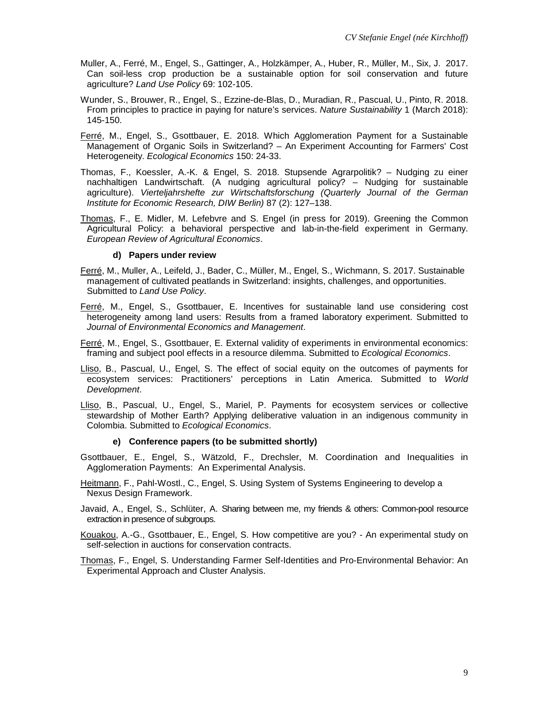- Muller, A., Ferré, M., Engel, S., Gattinger, A., Holzkämper, A., Huber, R., Müller, M., Six, J. 2017. Can soil-less crop production be a sustainable option for soil conservation and future agriculture? *Land Use Policy* 69: 102-105.
- Wunder, S., Brouwer, R., Engel, S., Ezzine-de-Blas, D., Muradian, R., Pascual, U., Pinto, R. 2018. From principles to practice in paying for nature's services. *Nature Sustainability* 1 (March 2018): 145-150.
- Ferré, M., Engel, S., Gsottbauer, E. 2018. Which Agglomeration Payment for a Sustainable Management of Organic Soils in Switzerland? – An Experiment Accounting for Farmers' Cost Heterogeneity. *Ecological Economics* 150: 24-33.
- Thomas, F., Koessler, A.-K. & Engel, S. 2018. Stupsende Agrarpolitik? Nudging zu einer nachhaltigen Landwirtschaft. (A nudging agricultural policy? – Nudging for sustainable agriculture). *Vierteljahrshefte zur Wirtschaftsforschung (Quarterly Journal of the German Institute for Economic Research, DIW Berlin)* 87 (2): 127–138.
- Thomas, F., E. Midler, M. Lefebvre and S. Engel (in press for 2019). Greening the Common Agricultural Policy: a behavioral perspective and lab-in-the-field experiment in Germany. *European Review of Agricultural Economics*.

#### **d) Papers under review**

- Ferré, M., Muller, A., Leifeld, J., Bader, C., Müller, M., Engel, S., Wichmann, S. 2017. Sustainable management of cultivated peatlands in Switzerland: insights, challenges, and opportunities. Submitted to *Land Use Policy*.
- Ferré, M., Engel, S., Gsottbauer, E. Incentives for sustainable land use considering cost heterogeneity among land users: Results from a framed laboratory experiment. Submitted to *Journal of Environmental Economics and Management*.
- Ferré, M., Engel, S., Gsottbauer, E. External validity of experiments in environmental economics: framing and subject pool effects in a resource dilemma. Submitted to *Ecological Economics*.
- Lliso, B., Pascual, U., Engel, S. The effect of social equity on the outcomes of payments for ecosystem services: Practitioners' perceptions in Latin America. Submitted to *World Development*.
- Lliso, B., Pascual, U., Engel, S., Mariel, P. Payments for ecosystem services or collective stewardship of Mother Earth? Applying deliberative valuation in an indigenous community in Colombia. Submitted to *Ecological Economics*.

#### **e) Conference papers (to be submitted shortly)**

- Gsottbauer, E., Engel, S., Wätzold, F., Drechsler, M. Coordination and Inequalities in Agglomeration Payments: An Experimental Analysis.
- Heitmann, F., Pahl-Wostl., C., Engel, S. Using System of Systems Engineering to develop a Nexus Design Framework.
- Javaid, A., Engel, S., Schlüter, A. Sharing between me, my friends & others: Common-pool resource extraction in presence of subgroups.
- Kouakou, A.-G., Gsottbauer, E., Engel, S. How competitive are you? An experimental study on self-selection in auctions for conservation contracts.
- Thomas, F., Engel, S. Understanding Farmer Self-Identities and Pro-Environmental Behavior: An Experimental Approach and Cluster Analysis.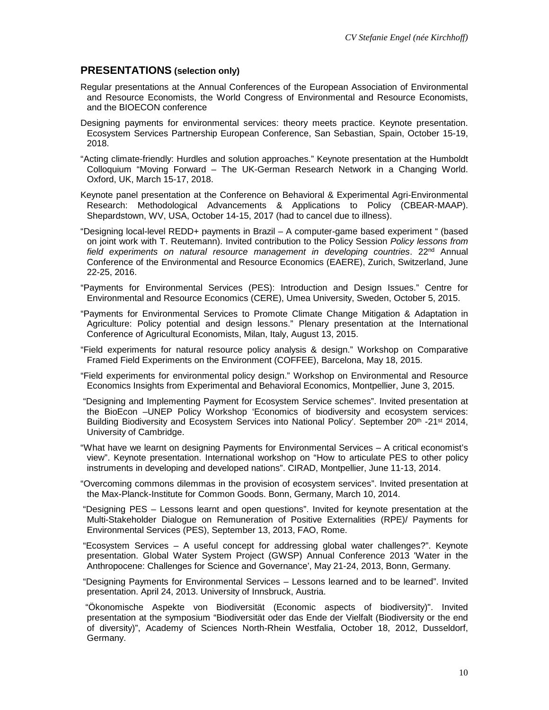### **PRESENTATIONS (selection only)**

- Regular presentations at the Annual Conferences of the European Association of Environmental and Resource Economists, the World Congress of Environmental and Resource Economists, and the BIOECON conference
- Designing payments for environmental services: theory meets practice. Keynote presentation. Ecosystem Services Partnership European Conference, San Sebastian, Spain, October 15-19, 2018.
- "Acting climate-friendly: Hurdles and solution approaches." Keynote presentation at the Humboldt Colloquium "Moving Forward – The UK-German Research Network in a Changing World. Oxford, UK, March 15-17, 2018.
- Keynote panel presentation at the Conference on Behavioral & Experimental Agri-Environmental Research: Methodological Advancements & Applications to Policy (CBEAR-MAAP). Shepardstown, WV, USA, October 14-15, 2017 (had to cancel due to illness).
- "Designing local-level REDD+ payments in Brazil A computer-game based experiment " (based on joint work with T. Reutemann). Invited contribution to the Policy Session *Policy lessons from field experiments on natural resource management in developing countries.* 22<sup>nd</sup> Annual Conference of the Environmental and Resource Economics (EAERE), Zurich, Switzerland, June 22-25, 2016.
- "Payments for Environmental Services (PES): Introduction and Design Issues." Centre for Environmental and Resource Economics (CERE), Umea University, Sweden, October 5, 2015.
- "Payments for Environmental Services to Promote Climate Change Mitigation & Adaptation in Agriculture: Policy potential and design lessons." Plenary presentation at the International Conference of Agricultural Economists, Milan, Italy, August 13, 2015.
- "Field experiments for natural resource policy analysis & design." Workshop on Comparative Framed Field Experiments on the Environment (COFFEE), Barcelona, May 18, 2015.
- "Field experiments for environmental policy design." Workshop on Environmental and Resource Economics Insights from Experimental and Behavioral Economics, Montpellier, June 3, 2015.
- "Designing and Implementing Payment for Ecosystem Service schemes". Invited presentation at the BioEcon –UNEP Policy Workshop 'Economics of biodiversity and ecosystem services: Building Biodiversity and Ecosystem Services into National Policy'. September 20<sup>th</sup> -21<sup>st</sup> 2014, University of Cambridge.
- "What have we learnt on designing Payments for Environmental Services A critical economist's view". Keynote presentation. International workshop on "How to articulate PES to other policy instruments in developing and developed nations". CIRAD, Montpellier, June 11-13, 2014.
- "Overcoming commons dilemmas in the provision of ecosystem services". Invited presentation at the Max-Planck-Institute for Common Goods. Bonn, Germany, March 10, 2014.
- "Designing PES Lessons learnt and open questions". Invited for keynote presentation at the Multi-Stakeholder Dialogue on Remuneration of Positive Externalities (RPE)/ Payments for Environmental Services (PES), September 13, 2013, FAO, Rome.
- "Ecosystem Services A useful concept for addressing global water challenges?". Keynote presentation. Global Water System Project (GWSP) Annual Conference 2013 'Water in the Anthropocene: Challenges for Science and Governance', May 21-24, 2013, Bonn, Germany.
- "Designing Payments for Environmental Services Lessons learned and to be learned". Invited presentation. April 24, 2013. University of Innsbruck, Austria.
- "Ökonomische Aspekte von Biodiversität (Economic aspects of biodiversity)". Invited presentation at the symposium "Biodiversität oder das Ende der Vielfalt (Biodiversity or the end of diversity)", Academy of Sciences North-Rhein Westfalia, October 18, 2012, Dusseldorf, Germany.